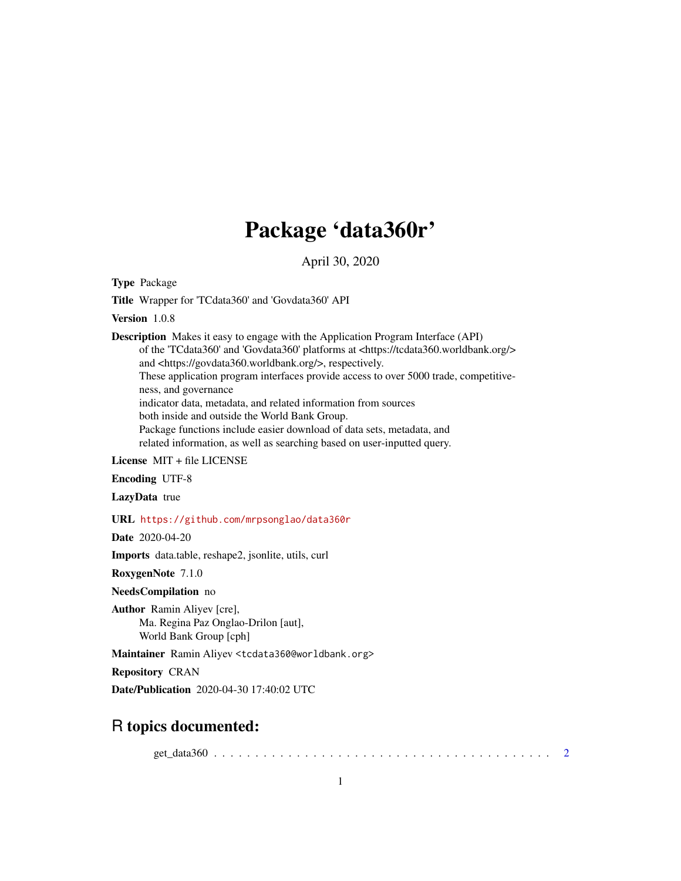## Package 'data360r'

April 30, 2020

Type Package

Title Wrapper for 'TCdata360' and 'Govdata360' API

Version 1.0.8

Description Makes it easy to engage with the Application Program Interface (API) of the 'TCdata360' and 'Govdata360' platforms at <https://tcdata360.worldbank.org/> and <https://govdata360.worldbank.org/>, respectively. These application program interfaces provide access to over 5000 trade, competitiveness, and governance indicator data, metadata, and related information from sources both inside and outside the World Bank Group. Package functions include easier download of data sets, metadata, and related information, as well as searching based on user-inputted query.

License MIT + file LICENSE

Encoding UTF-8

LazyData true

URL <https://github.com/mrpsonglao/data360r>

Date 2020-04-20

Imports data.table, reshape2, jsonlite, utils, curl

RoxygenNote 7.1.0

NeedsCompilation no

Author Ramin Aliyev [cre], Ma. Regina Paz Onglao-Drilon [aut], World Bank Group [cph]

Maintainer Ramin Aliyev <tcdata360@worldbank.org>

Repository CRAN

Date/Publication 2020-04-30 17:40:02 UTC

### R topics documented:

get\_data360 . . . . . . . . . . . . . . . . . . . . . . . . . . . . . . . . . . . . . . . . . [2](#page-1-0)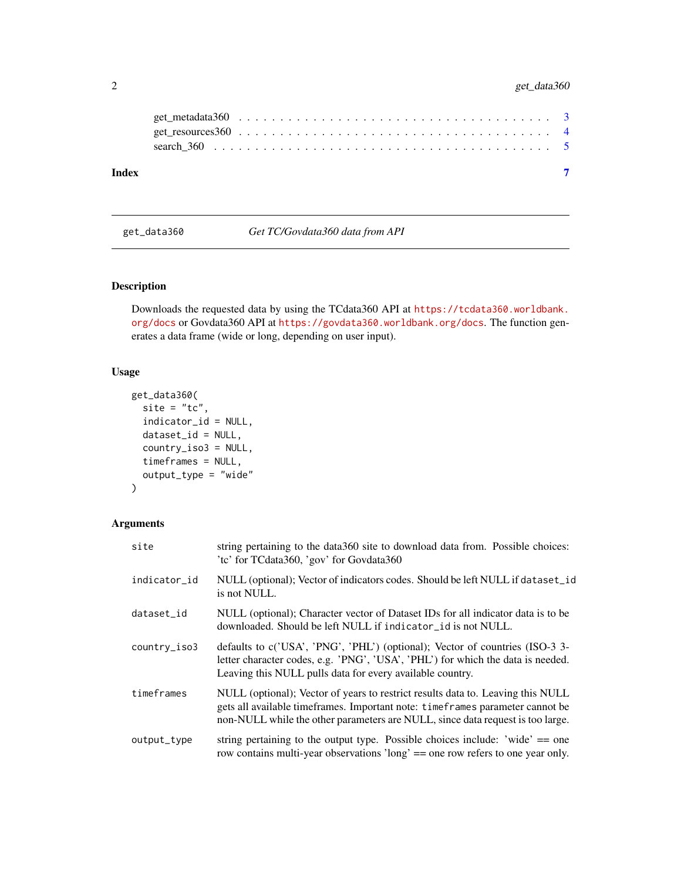#### <span id="page-1-0"></span>2 get\_data360

| Index |                                                                                                              |  |  |  |  |  |  |  |  |  |  |  |  |  |  |  |  |
|-------|--------------------------------------------------------------------------------------------------------------|--|--|--|--|--|--|--|--|--|--|--|--|--|--|--|--|
|       |                                                                                                              |  |  |  |  |  |  |  |  |  |  |  |  |  |  |  |  |
|       |                                                                                                              |  |  |  |  |  |  |  |  |  |  |  |  |  |  |  |  |
|       | get_metadata360 $\ldots \ldots \ldots \ldots \ldots \ldots \ldots \ldots \ldots \ldots \ldots \ldots \ldots$ |  |  |  |  |  |  |  |  |  |  |  |  |  |  |  |  |

<span id="page-1-1"></span>get\_data360 *Get TC/Govdata360 data from API*

#### Description

Downloads the requested data by using the TCdata360 API at [https://tcdata360.worldbank.](https://tcdata360.worldbank.org/docs) [org/docs](https://tcdata360.worldbank.org/docs) or Govdata360 API at <https://govdata360.worldbank.org/docs>. The function generates a data frame (wide or long, depending on user input).

#### Usage

```
get_data360(
  site = "tc",indicator_id = NULL,
  dataset_id = NULL,
  country_iso3 = NULL,
  timeframes = NULL,
  output_type = "wide"
)
```

| site                       | string pertaining to the data 360 site to download data from. Possible choices:<br>'tc' for TCdata360, 'gov' for Govdata360                                                                                                                          |
|----------------------------|------------------------------------------------------------------------------------------------------------------------------------------------------------------------------------------------------------------------------------------------------|
| indicator_id               | NULL (optional); Vector of indicators codes. Should be left NULL if dataset_id<br>is not NULL.                                                                                                                                                       |
| dataset_id                 | NULL (optional); Character vector of Dataset IDs for all indicator data is to be<br>downloaded. Should be left NULL if indicator_id is not NULL.                                                                                                     |
| $country$ <sub>150</sub> 3 | defaults to c('USA', 'PNG', 'PHL') (optional); Vector of countries (ISO-3 3-<br>letter character codes, e.g. 'PNG', 'USA', 'PHL') for which the data is needed.<br>Leaving this NULL pulls data for every available country.                         |
| timeframes                 | NULL (optional); Vector of years to restrict results data to. Leaving this NULL<br>gets all available time frames. Important note: time frames parameter cannot be<br>non-NULL while the other parameters are NULL, since data request is too large. |
| output_type                | string pertaining to the output type. Possible choices include: 'wide' $==$ one<br>row contains multi-year observations 'long' == one row refers to one year only.                                                                                   |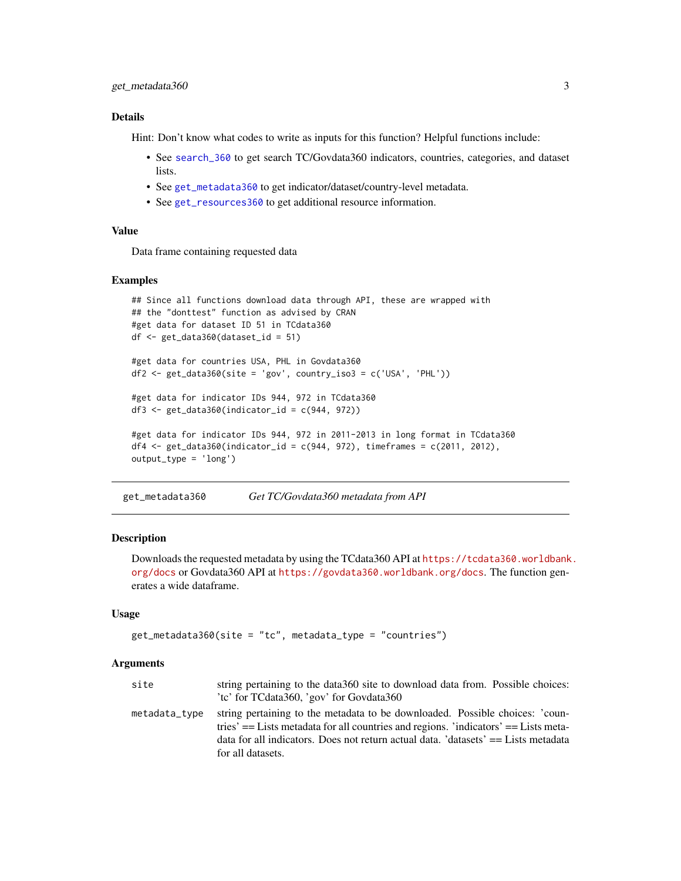#### <span id="page-2-0"></span>Details

Hint: Don't know what codes to write as inputs for this function? Helpful functions include:

- See [search\\_360](#page-4-1) to get search TC/Govdata360 indicators, countries, categories, and dataset lists.
- See [get\\_metadata360](#page-2-1) to get indicator/dataset/country-level metadata.
- See [get\\_resources360](#page-3-1) to get additional resource information.

#### Value

Data frame containing requested data

#### Examples

```
## Since all functions download data through API, these are wrapped with
## the "donttest" function as advised by CRAN
#get data for dataset ID 51 in TCdata360
df \leftarrow get_data360(dataset_id = 51)#get data for countries USA, PHL in Govdata360
df2 \leq get_data360(site = 'gov', country_is3 = c('USA', 'PHL'))#get data for indicator IDs 944, 972 in TCdata360
df3 <- get_data360(indicator_id = c(944, 972))
#get data for indicator IDs 944, 972 in 2011-2013 in long format in TCdata360
df4 <- get_data360(indicator_id = c(944, 972), timeframes = c(2011, 2012),
output_type = 'long')
```
<span id="page-2-1"></span>get\_metadata360 *Get TC/Govdata360 metadata from API*

#### Description

Downloads the requested metadata by using the TCdata360 API at [https://tcdata360.worldbank](https://tcdata360.worldbank.org/docs). [org/docs](https://tcdata360.worldbank.org/docs) or Govdata360 API at <https://govdata360.worldbank.org/docs>. The function generates a wide dataframe.

#### Usage

```
get_metadata360(site = "tc", metadata_type = "countries")
```

| site          | string pertaining to the data 360 site to download data from. Possible choices:                                                                                       |
|---------------|-----------------------------------------------------------------------------------------------------------------------------------------------------------------------|
|               | 'te' for TCdata360, 'gov' for Govdata360                                                                                                                              |
| metadata_type | string pertaining to the metadata to be downloaded. Possible choices: 'coun-<br>tries' $=$ Lists metadata for all countries and regions. 'indicators' $=$ Lists meta- |
|               | data for all indicators. Does not return actual data. 'datasets' $==$ Lists metadata                                                                                  |
|               | for all datasets.                                                                                                                                                     |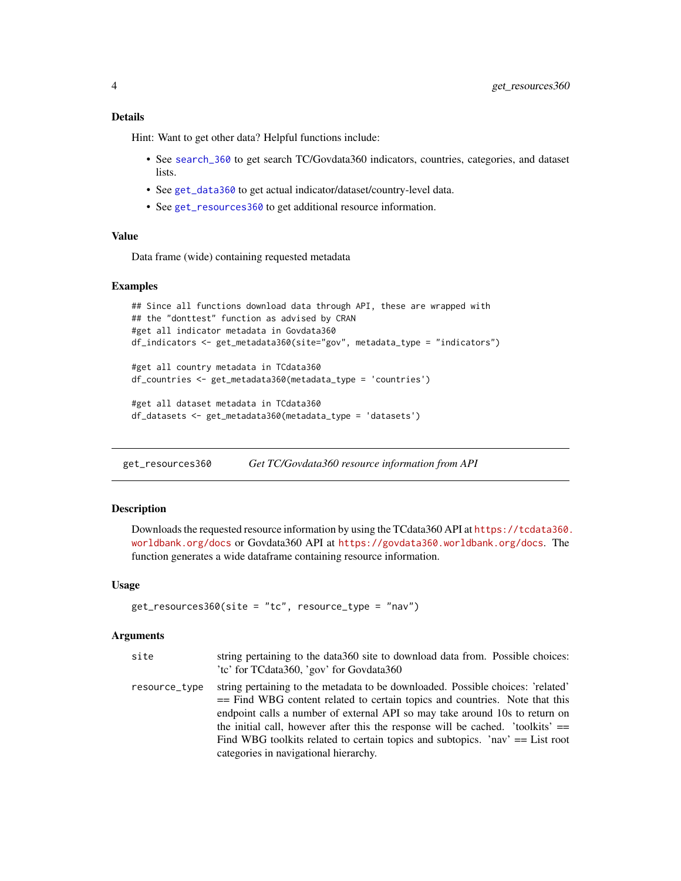#### <span id="page-3-0"></span>Details

Hint: Want to get other data? Helpful functions include:

- See [search\\_360](#page-4-1) to get search TC/Govdata360 indicators, countries, categories, and dataset lists.
- See [get\\_data360](#page-1-1) to get actual indicator/dataset/country-level data.
- See [get\\_resources360](#page-3-1) to get additional resource information.

#### Value

Data frame (wide) containing requested metadata

#### Examples

```
## Since all functions download data through API, these are wrapped with
## the "donttest" function as advised by CRAN
#get all indicator metadata in Govdata360
df_indicators <- get_metadata360(site="gov", metadata_type = "indicators")
#get all country metadata in TCdata360
df_countries <- get_metadata360(metadata_type = 'countries')
#get all dataset metadata in TCdata360
```

```
df_datasets <- get_metadata360(metadata_type = 'datasets')
```
<span id="page-3-1"></span>get\_resources360 *Get TC/Govdata360 resource information from API*

#### Description

Downloads the requested resource information by using the TCdata360 API at [https://tcdata360.](https://tcdata360.worldbank.org/docs) [worldbank.org/docs](https://tcdata360.worldbank.org/docs) or Govdata360 API at <https://govdata360.worldbank.org/docs>. The function generates a wide dataframe containing resource information.

#### Usage

```
get_resources360(site = "tc", resource_type = "nav")
```

| site          | string pertaining to the data 360 site to download data from. Possible choices:<br>'tc' for TCdata360, 'gov' for Govdata360                                                                                                                                                                                                                                                                                                                                    |
|---------------|----------------------------------------------------------------------------------------------------------------------------------------------------------------------------------------------------------------------------------------------------------------------------------------------------------------------------------------------------------------------------------------------------------------------------------------------------------------|
| resource_type | string pertaining to the metadata to be downloaded. Possible choices: 'related'<br>== Find WBG content related to certain topics and countries. Note that this<br>endpoint calls a number of external API so may take around 10s to return on<br>the initial call, however after this the response will be cached. 'toolkits' $==$<br>Find WBG toolkits related to certain topics and subtopics. 'nav' $==$ List root<br>categories in navigational hierarchy. |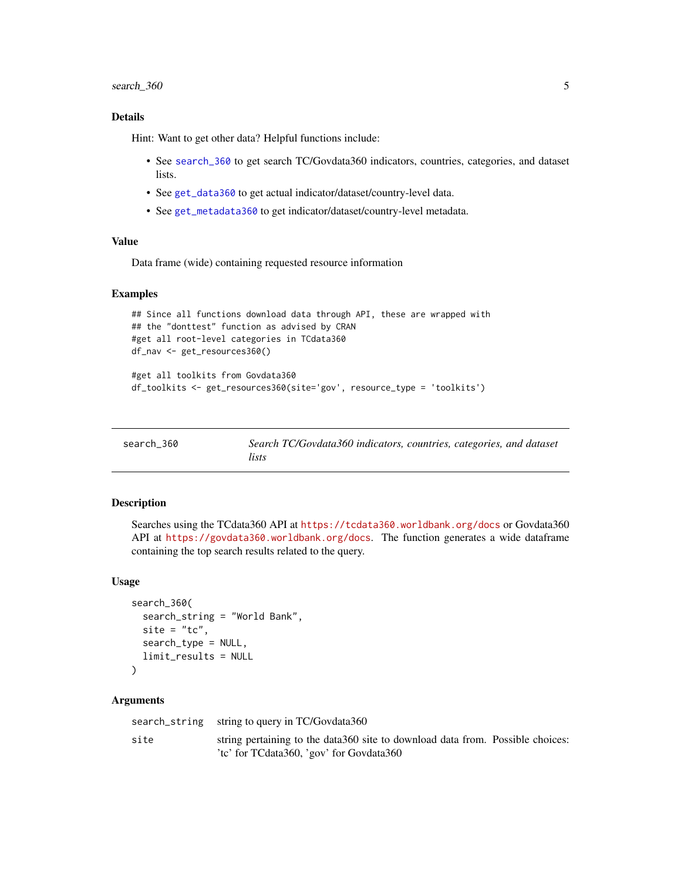#### <span id="page-4-0"></span>search\_360 5

#### Details

Hint: Want to get other data? Helpful functions include:

- See [search\\_360](#page-4-1) to get search TC/Govdata360 indicators, countries, categories, and dataset lists.
- See [get\\_data360](#page-1-1) to get actual indicator/dataset/country-level data.
- See [get\\_metadata360](#page-2-1) to get indicator/dataset/country-level metadata.

#### Value

Data frame (wide) containing requested resource information

#### Examples

```
## Since all functions download data through API, these are wrapped with
## the "donttest" function as advised by CRAN
#get all root-level categories in TCdata360
df_nav <- get_resources360()
```

```
#get all toolkits from Govdata360
df_toolkits <- get_resources360(site='gov', resource_type = 'toolkits')
```
<span id="page-4-1"></span>

| search 360 | Search TC/Govdata360 indicators, countries, categories, and dataset |  |
|------------|---------------------------------------------------------------------|--|
|            | lists                                                               |  |

#### Description

Searches using the TCdata360 API at <https://tcdata360.worldbank.org/docs> or Govdata360 API at <https://govdata360.worldbank.org/docs>. The function generates a wide dataframe containing the top search results related to the query.

#### Usage

```
search_360(
  search_string = "World Bank",
  site = "tc",search_type = NULL,
  limit_results = NULL
\lambda
```

|      | search_string string to query in TC/Govdata360                                                                              |  |
|------|-----------------------------------------------------------------------------------------------------------------------------|--|
| site | string pertaining to the data 360 site to download data from. Possible choices:<br>'te' for TCdata360, 'gov' for Govdata360 |  |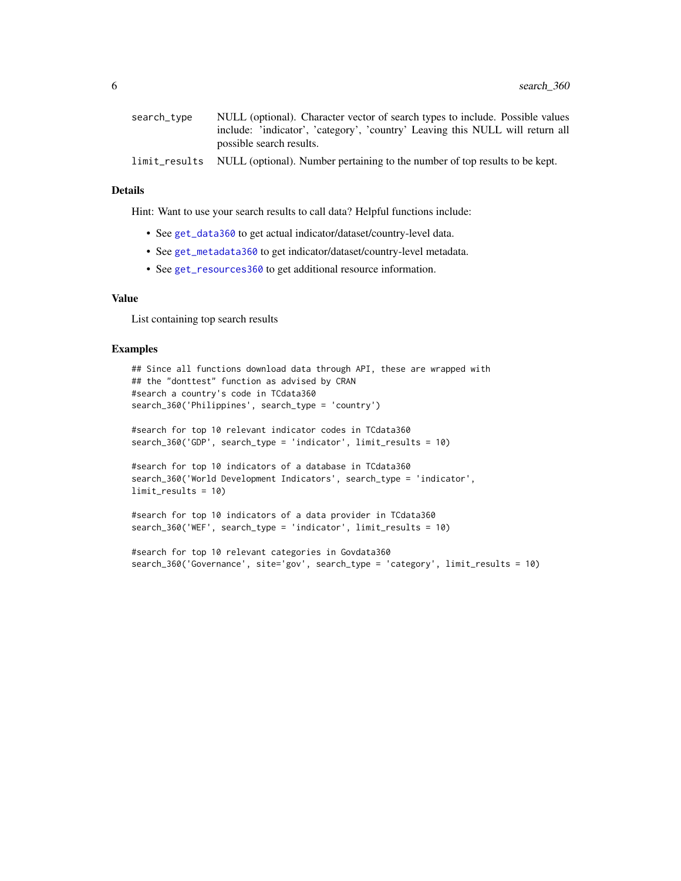<span id="page-5-0"></span>

| search_type | NULL (optional). Character vector of search types to include. Possible values             |
|-------------|-------------------------------------------------------------------------------------------|
|             | include: 'indicator', 'category', 'country' Leaving this NULL will return all             |
|             | possible search results.                                                                  |
|             | limit_results NULL (optional). Number pertaining to the number of top results to be kept. |

#### Details

Hint: Want to use your search results to call data? Helpful functions include:

- See [get\\_data360](#page-1-1) to get actual indicator/dataset/country-level data.
- See [get\\_metadata360](#page-2-1) to get indicator/dataset/country-level metadata.
- See [get\\_resources360](#page-3-1) to get additional resource information.

#### Value

List containing top search results

#### Examples

```
## Since all functions download data through API, these are wrapped with
## the "donttest" function as advised by CRAN
#search a country's code in TCdata360
search_360('Philippines', search_type = 'country')
```

```
#search for top 10 relevant indicator codes in TCdata360
search_360('GDP', search_type = 'indicator', limit_results = 10)
```

```
#search for top 10 indicators of a database in TCdata360
search_360('World Development Indicators', search_type = 'indicator',
limit_results = 10)
```

```
#search for top 10 indicators of a data provider in TCdata360
search_360('WEF', search_type = 'indicator', limit_results = 10)
```

```
#search for top 10 relevant categories in Govdata360
search_360('Governance', site='gov', search_type = 'category', limit_results = 10)
```